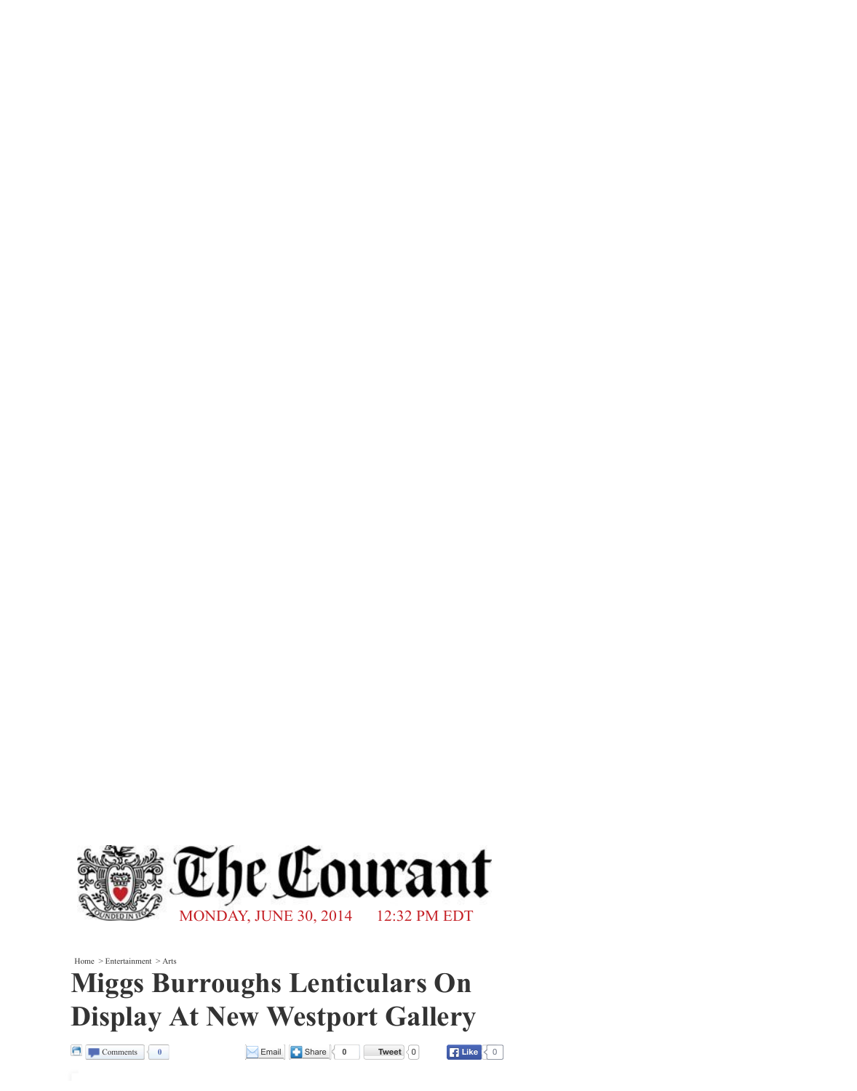

Home > Entertainment > Arts

## **Miggs Burroughs Lenticulars On Display At New Westport Gallery**









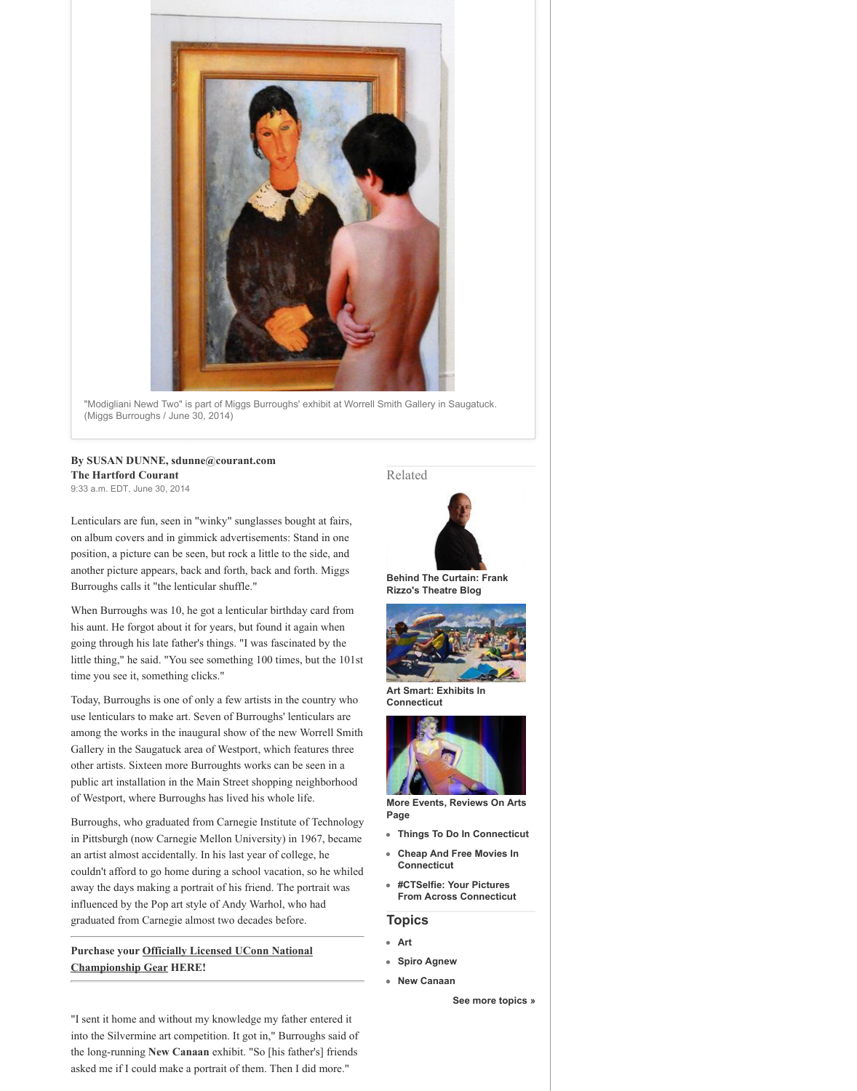

"Modigliani Newd Two" is part of Miggs Burroughs' exhibit at Worrell Smith Gallery in Saugatuck. (Miggs Burroughs / June 30, 2014)

## **By SUSAN DUNNE, [sdunne@courant.com](mailto:sdunne@courant.com) The Hartford Courant**

9:33 a.m. EDT, June 30, 2014

Lenticulars are fun, seen in "winky" sunglasses bought at fairs, on album covers and in gimmick advertisements: Stand in one position, a picture can be seen, but rock a little to the side, and another picture appears, back and forth, back and forth. Miggs Burroughs calls it "the lenticular shuffle."

When Burroughs was 10, he got a lenticular birthday card from his aunt. He forgot about it for years, but found it again when going through his late father's things. "I was fascinated by the little thing," he said. "You see something 100 times, but the 101st

time you see it, something clicks."

**Purchase your Officiall Championship Gear HERE!**

Today, Burroughs is one of only a few artists in the country who use lenticulars to make art. Seven of Burroughs' lenticulars are among the works in the inaugural show of the new Worrell Smith Gallery in the Saugatuck area of Westport, which features three other artists. Sixteen more Burroughts works can be seen in a public art installation in the Main Street shopping neighborhood of Westport, where Burroughs has lived his whole life.

Burroughs, who graduated from Carnegie Institute of Technology in Pittsburgh (now Carnegie Mellon University) in 1967, became an artist almost accidentally. In his last year of college, he couldn't afford to go home during a school vacation, so he whiled away the days making a portrait of his friend. The portrait was influenced by the Pop art style of Andy Warhol, who had graduated from Carnegie almost two decades before.



**[Behind The Curtain: Frank](http://www.courant.com/entertainment/arts/curtain/) Rizzo's Theatre Blog**



**[Art Smart: Exhibits In](http://www.courant.com/entertainment/art-smart/ctn-art-exhibits-in-connecticut-20140429,0,2942097.photogallery) Connecticut**



**[More Events, Reviews On Arts](http://www.ctnow.com/arts-theater/) Page**

- **[Things To Do In Connecticut](http://www.ctnow.com/entertainment/photos/hc-things-to-do-in-connecticut-20120116,0,3166446.photogallery)**
- **[Cheap And Free Movies In](http://www.ctnow.com/entertainment/movies/hc-cheap-and-free-movies-in-connecticut-20120728,0,908100.photogallery) Connecticut**







Related



"I sent it home and without my knowledge my father enter into the Silvermine art competition. It got in," Burroughs said of the long-running **[New Canaan](http://www.courant.com/topic/us/connecticut/fairfield-county/new-canaan-PLGEO100100201100000.topic)** exhibit. "So [his father's] friends asked me if  $\blacksquare$  make a portrait  $\blacksquare$  Then I did more.